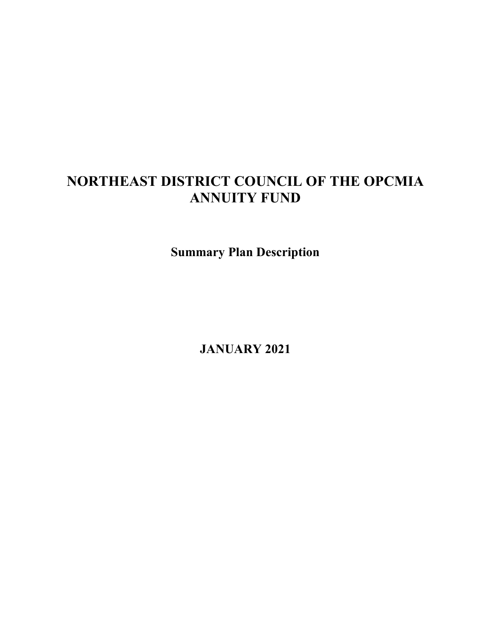# **NORTHEAST DISTRICT COUNCIL OF THE OPCMIA ANNUITY FUND**

**Summary Plan Description**

**JANUARY 2021**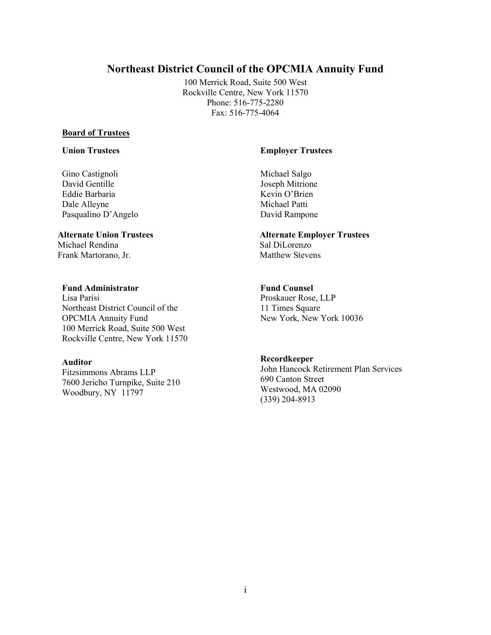# **Northeast District Council of the OPCMIA Annuity Fund**

100 Merrick Road, Suite 500 West Rockville Centre, New York 11570 Phone: 516-775-2280 Fax: 516-775-4064

#### **Board of Trustees**

# **Union Trustees Employer Trustees**

Gino Castignoli David Gentille Eddie Barbaria Dale Alleyne Pasqualino D'Angelo

Michael Rendina Frank Martorano, Jr. Matthew Stevens

#### **Fund Administrator Fund Counsel**

Lisa Parisi Northeast District Council of the OPCMIA Annuity Fund 100 Merrick Road, Suite 500 West Rockville Centre, New York 11570

#### **Auditor**

Fitzsimmons Abrams LLP 7600 Jericho Turnpike, Suite 210 Woodbury, NY 11797

Michael Salgo Joseph Mitrione Kevin O'Brien Michael Patti David Rampone

# **Alternate Union Trustees Alternate Employer Trustees**

Proskauer Rose, LLP 11 Times Square New York, New York 10036

#### **Recordkeeper**

John Hancock Retirement Plan Services 690 Canton Street Westwood, MA 02090 (339) 204-8913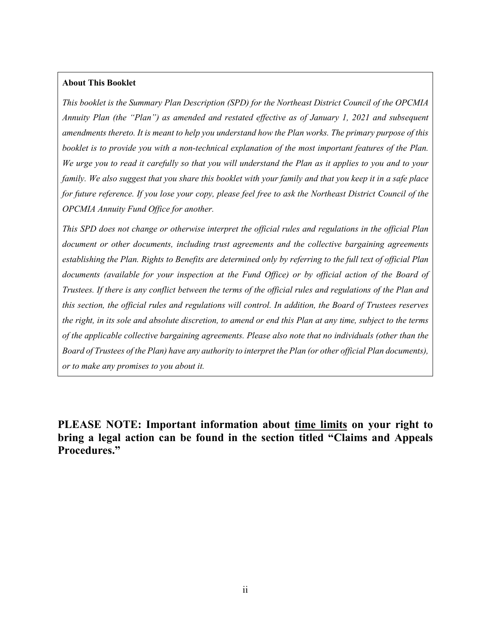#### **About This Booklet**

*This booklet is the Summary Plan Description (SPD) for the Northeast District Council of the OPCMIA Annuity Plan (the "Plan") as amended and restated effective as of January 1, 2021 and subsequent amendments thereto. It is meant to help you understand how the Plan works. The primary purpose of this booklet is to provide you with a non-technical explanation of the most important features of the Plan. We urge you to read it carefully so that you will understand the Plan as it applies to you and to your family. We also suggest that you share this booklet with your family and that you keep it in a safe place for future reference. If you lose your copy, please feel free to ask the Northeast District Council of the OPCMIA Annuity Fund Office for another.*

*This SPD does not change or otherwise interpret the official rules and regulations in the official Plan document or other documents, including trust agreements and the collective bargaining agreements establishing the Plan. Rights to Benefits are determined only by referring to the full text of official Plan*  documents (available for your inspection at the Fund Office) or by official action of the Board of *Trustees. If there is any conflict between the terms of the official rules and regulations of the Plan and this section, the official rules and regulations will control. In addition, the Board of Trustees reserves the right, in its sole and absolute discretion, to amend or end this Plan at any time, subject to the terms of the applicable collective bargaining agreements. Please also note that no individuals (other than the Board of Trustees of the Plan) have any authority to interpret the Plan (or other official Plan documents), or to make any promises to you about it.*

**PLEASE NOTE: Important information about time limits on your right to bring a legal action can be found in the section titled "Claims and Appeals Procedures."**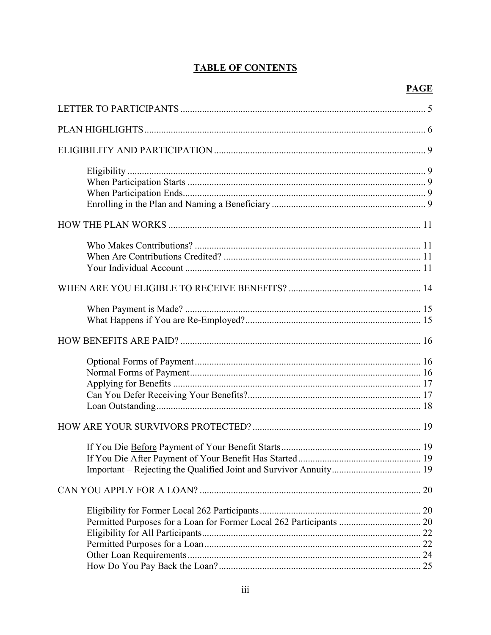# **TABLE OF CONTENTS**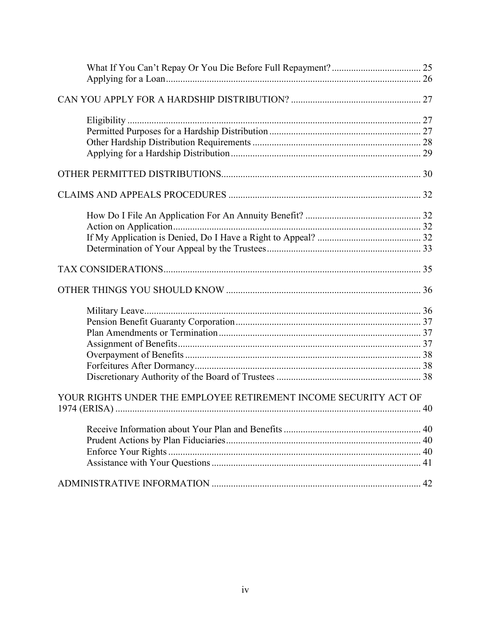| YOUR RIGHTS UNDER THE EMPLOYEE RETIREMENT INCOME SECURITY ACT OF |  |
|------------------------------------------------------------------|--|
|                                                                  |  |
|                                                                  |  |
|                                                                  |  |
|                                                                  |  |
|                                                                  |  |
|                                                                  |  |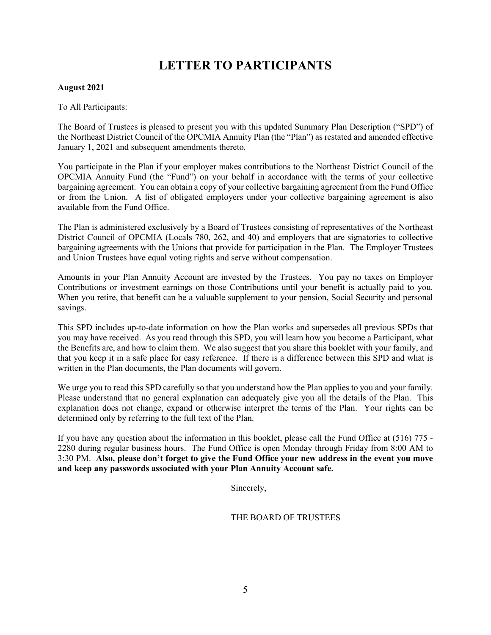# **LETTER TO PARTICIPANTS**

#### **August 2021**

#### To All Participants:

The Board of Trustees is pleased to present you with this updated Summary Plan Description ("SPD") of the Northeast District Council of the OPCMIA Annuity Plan (the "Plan") as restated and amended effective January 1, 2021 and subsequent amendments thereto.

You participate in the Plan if your employer makes contributions to the Northeast District Council of the OPCMIA Annuity Fund (the "Fund") on your behalf in accordance with the terms of your collective bargaining agreement. You can obtain a copy of your collective bargaining agreement from the Fund Office or from the Union. A list of obligated employers under your collective bargaining agreement is also available from the Fund Office.

The Plan is administered exclusively by a Board of Trustees consisting of representatives of the Northeast District Council of OPCMIA (Locals 780, 262, and 40) and employers that are signatories to collective bargaining agreements with the Unions that provide for participation in the Plan. The Employer Trustees and Union Trustees have equal voting rights and serve without compensation.

Amounts in your Plan Annuity Account are invested by the Trustees. You pay no taxes on Employer Contributions or investment earnings on those Contributions until your benefit is actually paid to you. When you retire, that benefit can be a valuable supplement to your pension, Social Security and personal savings.

This SPD includes up-to-date information on how the Plan works and supersedes all previous SPDs that you may have received. As you read through this SPD, you will learn how you become a Participant, what the Benefits are, and how to claim them. We also suggest that you share this booklet with your family, and that you keep it in a safe place for easy reference. If there is a difference between this SPD and what is written in the Plan documents, the Plan documents will govern.

We urge you to read this SPD carefully so that you understand how the Plan applies to you and your family. Please understand that no general explanation can adequately give you all the details of the Plan. This explanation does not change, expand or otherwise interpret the terms of the Plan. Your rights can be determined only by referring to the full text of the Plan.

If you have any question about the information in this booklet, please call the Fund Office at (516) 775 - 2280 during regular business hours. The Fund Office is open Monday through Friday from 8:00 AM to 3:30 PM. **Also, please don't forget to give the Fund Office your new address in the event you move and keep any passwords associated with your Plan Annuity Account safe.**

Sincerely,

THE BOARD OF TRUSTEES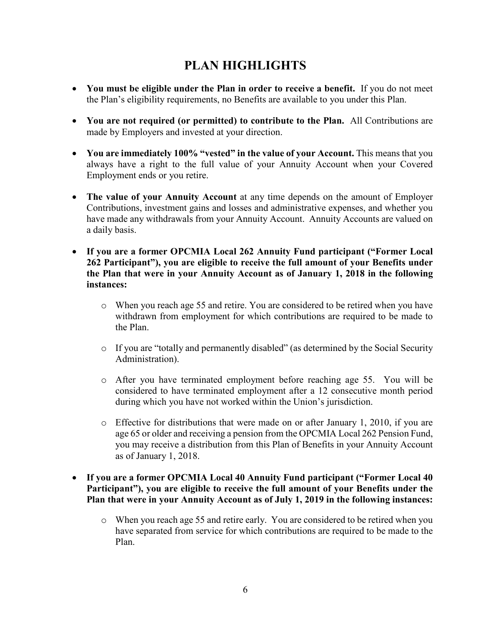# **PLAN HIGHLIGHTS**

- **You must be eligible under the Plan in order to receive a benefit.** If you do not meet the Plan's eligibility requirements, no Benefits are available to you under this Plan.
- **You are not required (or permitted) to contribute to the Plan.** All Contributions are made by Employers and invested at your direction.
- **You are immediately 100% "vested" in the value of your Account.** This means that you always have a right to the full value of your Annuity Account when your Covered Employment ends or you retire.
- **The value of your Annuity Account** at any time depends on the amount of Employer Contributions, investment gains and losses and administrative expenses, and whether you have made any withdrawals from your Annuity Account. Annuity Accounts are valued on a daily basis.
- **If you are a former OPCMIA Local 262 Annuity Fund participant ("Former Local 262 Participant"), you are eligible to receive the full amount of your Benefits under the Plan that were in your Annuity Account as of January 1, 2018 in the following instances:**
	- o When you reach age 55 and retire. You are considered to be retired when you have withdrawn from employment for which contributions are required to be made to the Plan.
	- o If you are "totally and permanently disabled" (as determined by the Social Security Administration).
	- o After you have terminated employment before reaching age 55. You will be considered to have terminated employment after a 12 consecutive month period during which you have not worked within the Union's jurisdiction.
	- $\circ$  Effective for distributions that were made on or after January 1, 2010, if you are age 65 or older and receiving a pension from the OPCMIA Local 262 Pension Fund, you may receive a distribution from this Plan of Benefits in your Annuity Account as of January 1, 2018.
- **If you are a former OPCMIA Local 40 Annuity Fund participant ("Former Local 40 Participant"), you are eligible to receive the full amount of your Benefits under the Plan that were in your Annuity Account as of July 1, 2019 in the following instances:**
	- o When you reach age 55 and retire early. You are considered to be retired when you have separated from service for which contributions are required to be made to the Plan.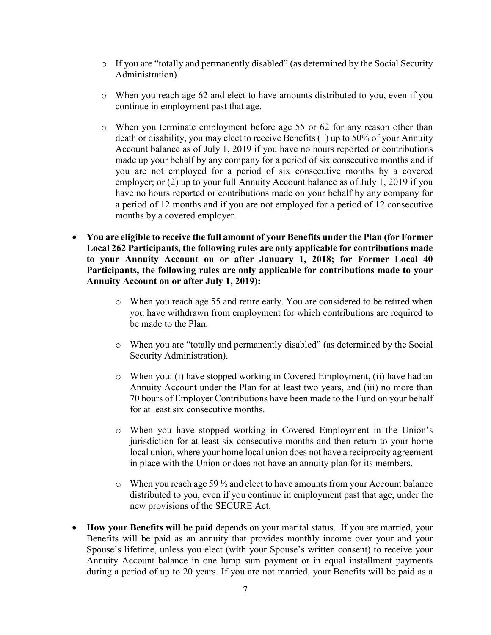- o If you are "totally and permanently disabled" (as determined by the Social Security Administration).
- o When you reach age 62 and elect to have amounts distributed to you, even if you continue in employment past that age.
- o When you terminate employment before age 55 or 62 for any reason other than death or disability, you may elect to receive Benefits (1) up to 50% of your Annuity Account balance as of July 1, 2019 if you have no hours reported or contributions made up your behalf by any company for a period of six consecutive months and if you are not employed for a period of six consecutive months by a covered employer; or  $(2)$  up to your full Annuity Account balance as of July 1, 2019 if you have no hours reported or contributions made on your behalf by any company for a period of 12 months and if you are not employed for a period of 12 consecutive months by a covered employer.
- **You are eligible to receive the full amount of your Benefits under the Plan (for Former Local 262 Participants, the following rules are only applicable for contributions made to your Annuity Account on or after January 1, 2018; for Former Local 40 Participants, the following rules are only applicable for contributions made to your Annuity Account on or after July 1, 2019):**
	- o When you reach age 55 and retire early. You are considered to be retired when you have withdrawn from employment for which contributions are required to be made to the Plan.
	- o When you are "totally and permanently disabled" (as determined by the Social Security Administration).
	- o When you: (i) have stopped working in Covered Employment, (ii) have had an Annuity Account under the Plan for at least two years, and (iii) no more than 70 hours of Employer Contributions have been made to the Fund on your behalf for at least six consecutive months.
	- o When you have stopped working in Covered Employment in the Union's jurisdiction for at least six consecutive months and then return to your home local union, where your home local union does not have a reciprocity agreement in place with the Union or does not have an annuity plan for its members.
	- $\circ$  When you reach age 59  $\frac{1}{2}$  and elect to have amounts from your Account balance distributed to you, even if you continue in employment past that age, under the new provisions of the SECURE Act.
- **How your Benefits will be paid** depends on your marital status. If you are married, your Benefits will be paid as an annuity that provides monthly income over your and your Spouse's lifetime, unless you elect (with your Spouse's written consent) to receive your Annuity Account balance in one lump sum payment or in equal installment payments during a period of up to 20 years. If you are not married, your Benefits will be paid as a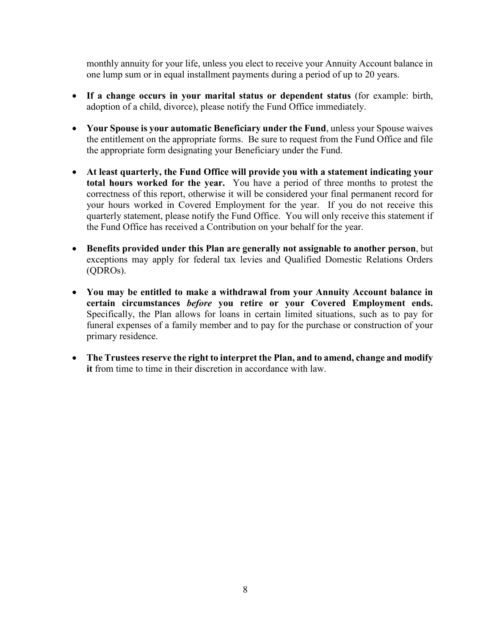monthly annuity for your life, unless you elect to receive your Annuity Account balance in one lump sum or in equal installment payments during a period of up to 20 years.

- **If a change occurs in your marital status or dependent status** (for example: birth, adoption of a child, divorce), please notify the Fund Office immediately.
- **Your Spouse is your automatic Beneficiary under the Fund**, unless your Spouse waives the entitlement on the appropriate forms. Be sure to request from the Fund Office and file the appropriate form designating your Beneficiary under the Fund.
- **At least quarterly, the Fund Office will provide you with a statement indicating your total hours worked for the year.** You have a period of three months to protest the correctness of this report, otherwise it will be considered your final permanent record for your hours worked in Covered Employment for the year. If you do not receive this quarterly statement, please notify the Fund Office. You will only receive this statement if the Fund Office has received a Contribution on your behalf for the year.
- **Benefits provided under this Plan are generally not assignable to another person**, but exceptions may apply for federal tax levies and Qualified Domestic Relations Orders (QDROs).
- **You may be entitled to make a withdrawal from your Annuity Account balance in certain circumstances** *before* **you retire or your Covered Employment ends.** Specifically, the Plan allows for loans in certain limited situations, such as to pay for funeral expenses of a family member and to pay for the purchase or construction of your primary residence.
- **The Trustees reserve the right to interpret the Plan, and to amend, change and modify it** from time to time in their discretion in accordance with law.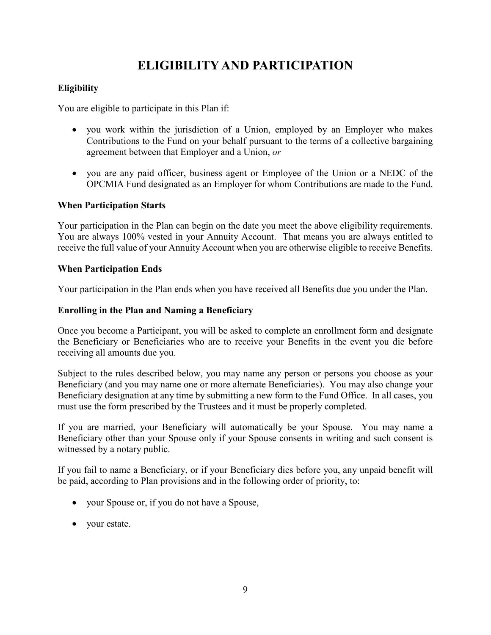# **ELIGIBILITY AND PARTICIPATION**

# **Eligibility**

You are eligible to participate in this Plan if:

- you work within the jurisdiction of a Union, employed by an Employer who makes Contributions to the Fund on your behalf pursuant to the terms of a collective bargaining agreement between that Employer and a Union, *or*
- you are any paid officer, business agent or Employee of the Union or a NEDC of the OPCMIA Fund designated as an Employer for whom Contributions are made to the Fund.

# **When Participation Starts**

Your participation in the Plan can begin on the date you meet the above eligibility requirements. You are always 100% vested in your Annuity Account. That means you are always entitled to receive the full value of your Annuity Account when you are otherwise eligible to receive Benefits.

### **When Participation Ends**

Your participation in the Plan ends when you have received all Benefits due you under the Plan.

### **Enrolling in the Plan and Naming a Beneficiary**

Once you become a Participant, you will be asked to complete an enrollment form and designate the Beneficiary or Beneficiaries who are to receive your Benefits in the event you die before receiving all amounts due you.

Subject to the rules described below, you may name any person or persons you choose as your Beneficiary (and you may name one or more alternate Beneficiaries). You may also change your Beneficiary designation at any time by submitting a new form to the Fund Office. In all cases, you must use the form prescribed by the Trustees and it must be properly completed.

If you are married, your Beneficiary will automatically be your Spouse. You may name a Beneficiary other than your Spouse only if your Spouse consents in writing and such consent is witnessed by a notary public.

If you fail to name a Beneficiary, or if your Beneficiary dies before you, any unpaid benefit will be paid, according to Plan provisions and in the following order of priority, to:

- your Spouse or, if you do not have a Spouse,
- your estate.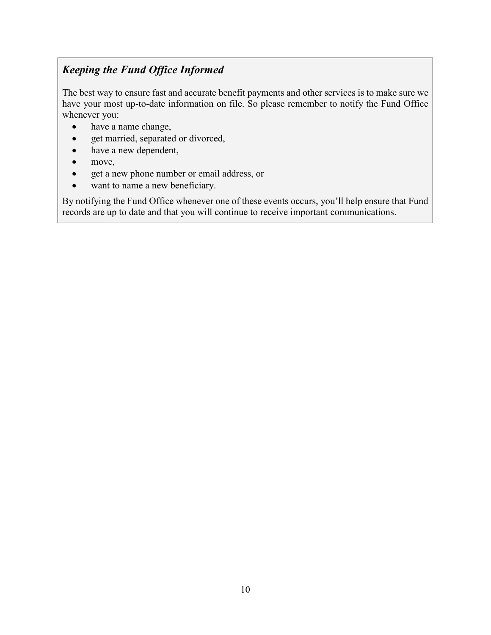# *Keeping the Fund Office Informed*

The best way to ensure fast and accurate benefit payments and other services is to make sure we have your most up-to-date information on file. So please remember to notify the Fund Office whenever you:

- have a name change,
- get married, separated or divorced,
- have a new dependent,
- move,
- get a new phone number or email address, or
- want to name a new beneficiary.

By notifying the Fund Office whenever one of these events occurs, you'll help ensure that Fund records are up to date and that you will continue to receive important communications.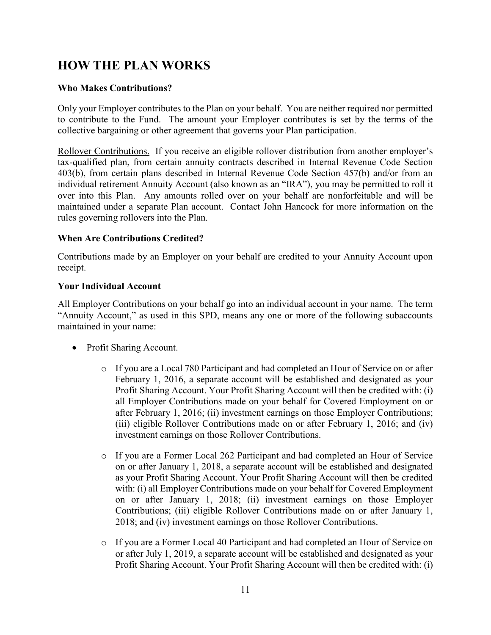# **HOW THE PLAN WORKS**

# **Who Makes Contributions?**

Only your Employer contributes to the Plan on your behalf. You are neither required nor permitted to contribute to the Fund. The amount your Employer contributes is set by the terms of the collective bargaining or other agreement that governs your Plan participation.

Rollover Contributions. If you receive an eligible rollover distribution from another employer's tax-qualified plan, from certain annuity contracts described in Internal Revenue Code Section 403(b), from certain plans described in Internal Revenue Code Section 457(b) and/or from an individual retirement Annuity Account (also known as an "IRA"), you may be permitted to roll it over into this Plan. Any amounts rolled over on your behalf are nonforfeitable and will be maintained under a separate Plan account. Contact John Hancock for more information on the rules governing rollovers into the Plan.

# **When Are Contributions Credited?**

Contributions made by an Employer on your behalf are credited to your Annuity Account upon receipt.

# **Your Individual Account**

All Employer Contributions on your behalf go into an individual account in your name. The term "Annuity Account," as used in this SPD, means any one or more of the following subaccounts maintained in your name:

- Profit Sharing Account.
	- o If you are a Local 780 Participant and had completed an Hour of Service on or after February 1, 2016, a separate account will be established and designated as your Profit Sharing Account. Your Profit Sharing Account will then be credited with: (i) all Employer Contributions made on your behalf for Covered Employment on or after February 1, 2016; (ii) investment earnings on those Employer Contributions; (iii) eligible Rollover Contributions made on or after February 1, 2016; and (iv) investment earnings on those Rollover Contributions.
	- o If you are a Former Local 262 Participant and had completed an Hour of Service on or after January 1, 2018, a separate account will be established and designated as your Profit Sharing Account. Your Profit Sharing Account will then be credited with: (i) all Employer Contributions made on your behalf for Covered Employment on or after January 1, 2018; (ii) investment earnings on those Employer Contributions; (iii) eligible Rollover Contributions made on or after January 1, 2018; and (iv) investment earnings on those Rollover Contributions.
	- o If you are a Former Local 40 Participant and had completed an Hour of Service on or after July 1, 2019, a separate account will be established and designated as your Profit Sharing Account. Your Profit Sharing Account will then be credited with: (i)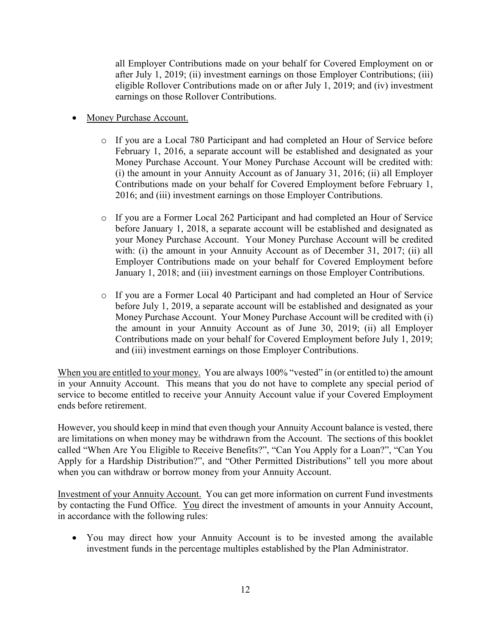all Employer Contributions made on your behalf for Covered Employment on or after July 1, 2019; (ii) investment earnings on those Employer Contributions; (iii) eligible Rollover Contributions made on or after July 1, 2019; and (iv) investment earnings on those Rollover Contributions.

- Money Purchase Account.
	- o If you are a Local 780 Participant and had completed an Hour of Service before February 1, 2016, a separate account will be established and designated as your Money Purchase Account. Your Money Purchase Account will be credited with: (i) the amount in your Annuity Account as of January 31, 2016; (ii) all Employer Contributions made on your behalf for Covered Employment before February 1, 2016; and (iii) investment earnings on those Employer Contributions.
	- o If you are a Former Local 262 Participant and had completed an Hour of Service before January 1, 2018, a separate account will be established and designated as your Money Purchase Account. Your Money Purchase Account will be credited with: (i) the amount in your Annuity Account as of December 31, 2017; (ii) all Employer Contributions made on your behalf for Covered Employment before January 1, 2018; and (iii) investment earnings on those Employer Contributions.
	- o If you are a Former Local 40 Participant and had completed an Hour of Service before July 1, 2019, a separate account will be established and designated as your Money Purchase Account. Your Money Purchase Account will be credited with (i) the amount in your Annuity Account as of June 30, 2019; (ii) all Employer Contributions made on your behalf for Covered Employment before July 1, 2019; and (iii) investment earnings on those Employer Contributions.

When you are entitled to your money. You are always 100% "vested" in (or entitled to) the amount in your Annuity Account. This means that you do not have to complete any special period of service to become entitled to receive your Annuity Account value if your Covered Employment ends before retirement.

However, you should keep in mind that even though your Annuity Account balance is vested, there are limitations on when money may be withdrawn from the Account. The sections of this booklet called "When Are You Eligible to Receive Benefits?", "Can You Apply for a Loan?", "Can You Apply for a Hardship Distribution?", and "Other Permitted Distributions" tell you more about when you can withdraw or borrow money from your Annuity Account.

Investment of your Annuity Account. You can get more information on current Fund investments by contacting the Fund Office. You direct the investment of amounts in your Annuity Account, in accordance with the following rules:

• You may direct how your Annuity Account is to be invested among the available investment funds in the percentage multiples established by the Plan Administrator.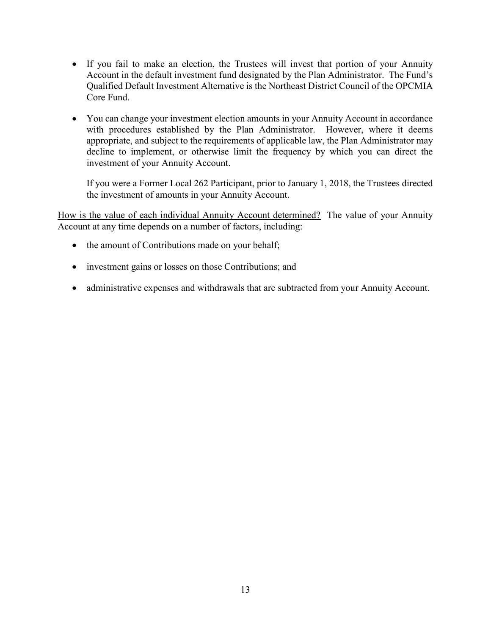- If you fail to make an election, the Trustees will invest that portion of your Annuity Account in the default investment fund designated by the Plan Administrator. The Fund's Qualified Default Investment Alternative is the Northeast District Council of the OPCMIA Core Fund.
- You can change your investment election amounts in your Annuity Account in accordance with procedures established by the Plan Administrator. However, where it deems appropriate, and subject to the requirements of applicable law, the Plan Administrator may decline to implement, or otherwise limit the frequency by which you can direct the investment of your Annuity Account.

If you were a Former Local 262 Participant, prior to January 1, 2018, the Trustees directed the investment of amounts in your Annuity Account.

How is the value of each individual Annuity Account determined? The value of your Annuity Account at any time depends on a number of factors, including:

- the amount of Contributions made on your behalf;
- investment gains or losses on those Contributions; and
- administrative expenses and withdrawals that are subtracted from your Annuity Account.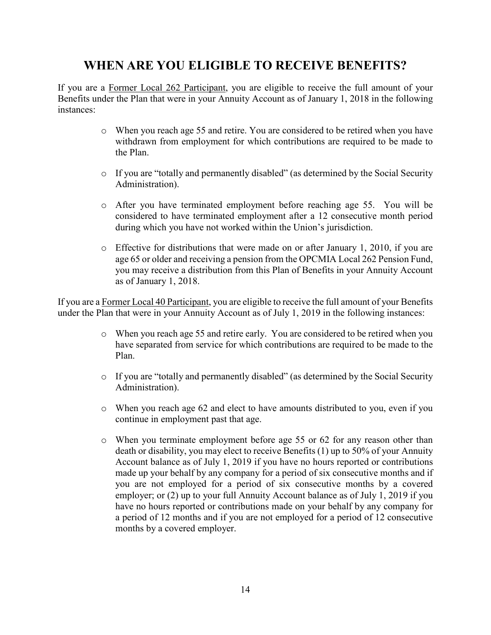# **WHEN ARE YOU ELIGIBLE TO RECEIVE BENEFITS?**

If you are a Former Local 262 Participant, you are eligible to receive the full amount of your Benefits under the Plan that were in your Annuity Account as of January 1, 2018 in the following instances:

- o When you reach age 55 and retire. You are considered to be retired when you have withdrawn from employment for which contributions are required to be made to the Plan.
- o If you are "totally and permanently disabled" (as determined by the Social Security Administration).
- o After you have terminated employment before reaching age 55. You will be considered to have terminated employment after a 12 consecutive month period during which you have not worked within the Union's jurisdiction.
- $\circ$  Effective for distributions that were made on or after January 1, 2010, if you are age 65 or older and receiving a pension from the OPCMIA Local 262 Pension Fund, you may receive a distribution from this Plan of Benefits in your Annuity Account as of January 1, 2018.

If you are a Former Local 40 Participant, you are eligible to receive the full amount of your Benefits under the Plan that were in your Annuity Account as of July 1, 2019 in the following instances:

- o When you reach age 55 and retire early. You are considered to be retired when you have separated from service for which contributions are required to be made to the Plan.
- o If you are "totally and permanently disabled" (as determined by the Social Security Administration).
- $\circ$  When you reach age 62 and elect to have amounts distributed to you, even if you continue in employment past that age.
- o When you terminate employment before age 55 or 62 for any reason other than death or disability, you may elect to receive Benefits (1) up to 50% of your Annuity Account balance as of July 1, 2019 if you have no hours reported or contributions made up your behalf by any company for a period of six consecutive months and if you are not employed for a period of six consecutive months by a covered employer; or (2) up to your full Annuity Account balance as of July 1, 2019 if you have no hours reported or contributions made on your behalf by any company for a period of 12 months and if you are not employed for a period of 12 consecutive months by a covered employer.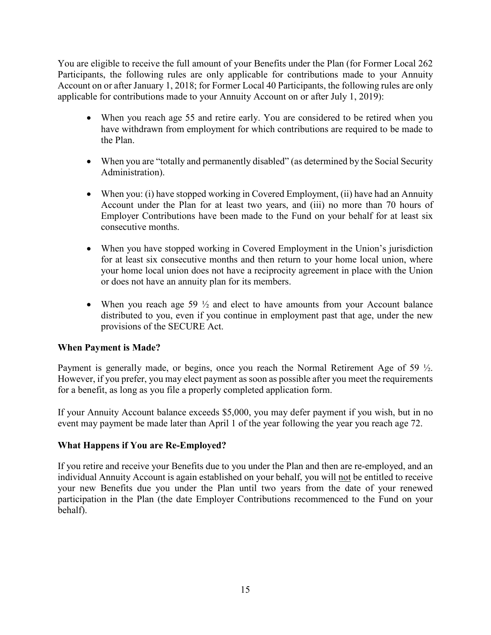You are eligible to receive the full amount of your Benefits under the Plan (for Former Local 262 Participants, the following rules are only applicable for contributions made to your Annuity Account on or after January 1, 2018; for Former Local 40 Participants, the following rules are only applicable for contributions made to your Annuity Account on or after July 1, 2019):

- When you reach age 55 and retire early. You are considered to be retired when you have withdrawn from employment for which contributions are required to be made to the Plan.
- When you are "totally and permanently disabled" (as determined by the Social Security Administration).
- When you: (i) have stopped working in Covered Employment, (ii) have had an Annuity Account under the Plan for at least two years, and (iii) no more than 70 hours of Employer Contributions have been made to the Fund on your behalf for at least six consecutive months.
- When you have stopped working in Covered Employment in the Union's jurisdiction for at least six consecutive months and then return to your home local union, where your home local union does not have a reciprocity agreement in place with the Union or does not have an annuity plan for its members.
- When you reach age 59  $\frac{1}{2}$  and elect to have amounts from your Account balance distributed to you, even if you continue in employment past that age, under the new provisions of the SECURE Act.

# **When Payment is Made?**

Payment is generally made, or begins, once you reach the Normal Retirement Age of 59  $\frac{1}{2}$ . However, if you prefer, you may elect payment as soon as possible after you meet the requirements for a benefit, as long as you file a properly completed application form.

If your Annuity Account balance exceeds \$5,000, you may defer payment if you wish, but in no event may payment be made later than April 1 of the year following the year you reach age 72.

# **What Happens if You are Re-Employed?**

If you retire and receive your Benefits due to you under the Plan and then are re-employed, and an individual Annuity Account is again established on your behalf, you will not be entitled to receive your new Benefits due you under the Plan until two years from the date of your renewed participation in the Plan (the date Employer Contributions recommenced to the Fund on your behalf).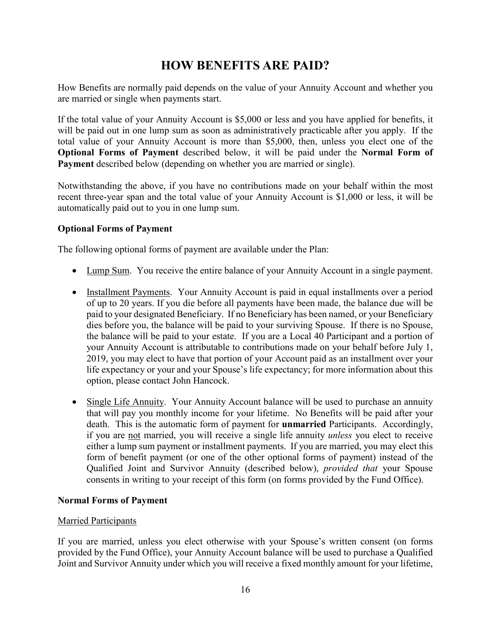# **HOW BENEFITS ARE PAID?**

How Benefits are normally paid depends on the value of your Annuity Account and whether you are married or single when payments start.

If the total value of your Annuity Account is \$5,000 or less and you have applied for benefits, it will be paid out in one lump sum as soon as administratively practicable after you apply. If the total value of your Annuity Account is more than \$5,000, then, unless you elect one of the **Optional Forms of Payment** described below, it will be paid under the **Normal Form of Payment** described below (depending on whether you are married or single).

Notwithstanding the above, if you have no contributions made on your behalf within the most recent three-year span and the total value of your Annuity Account is \$1,000 or less, it will be automatically paid out to you in one lump sum.

# **Optional Forms of Payment**

The following optional forms of payment are available under the Plan:

- Lump Sum. You receive the entire balance of your Annuity Account in a single payment.
- Installment Payments. Your Annuity Account is paid in equal installments over a period of up to 20 years. If you die before all payments have been made, the balance due will be paid to your designated Beneficiary. If no Beneficiary has been named, or your Beneficiary dies before you, the balance will be paid to your surviving Spouse. If there is no Spouse, the balance will be paid to your estate. If you are a Local 40 Participant and a portion of your Annuity Account is attributable to contributions made on your behalf before July 1, 2019, you may elect to have that portion of your Account paid as an installment over your life expectancy or your and your Spouse's life expectancy; for more information about this option, please contact John Hancock.
- Single Life Annuity. Your Annuity Account balance will be used to purchase an annuity that will pay you monthly income for your lifetime. No Benefits will be paid after your death. This is the automatic form of payment for **unmarried** Participants. Accordingly, if you are not married, you will receive a single life annuity *unless* you elect to receive either a lump sum payment or installment payments. If you are married, you may elect this form of benefit payment (or one of the other optional forms of payment) instead of the Qualified Joint and Survivor Annuity (described below), *provided that* your Spouse consents in writing to your receipt of this form (on forms provided by the Fund Office).

# **Normal Forms of Payment**

#### Married Participants

If you are married, unless you elect otherwise with your Spouse's written consent (on forms provided by the Fund Office), your Annuity Account balance will be used to purchase a Qualified Joint and Survivor Annuity under which you will receive a fixed monthly amount for your lifetime,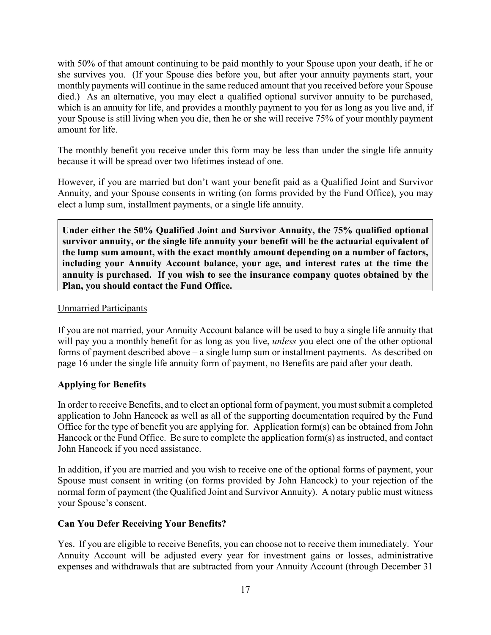with 50% of that amount continuing to be paid monthly to your Spouse upon your death, if he or she survives you. (If your Spouse dies before you, but after your annuity payments start, your monthly payments will continue in the same reduced amount that you received before your Spouse died.) As an alternative, you may elect a qualified optional survivor annuity to be purchased, which is an annuity for life, and provides a monthly payment to you for as long as you live and, if your Spouse is still living when you die, then he or she will receive 75% of your monthly payment amount for life.

The monthly benefit you receive under this form may be less than under the single life annuity because it will be spread over two lifetimes instead of one.

However, if you are married but don't want your benefit paid as a Qualified Joint and Survivor Annuity, and your Spouse consents in writing (on forms provided by the Fund Office), you may elect a lump sum, installment payments, or a single life annuity.

**Under either the 50% Qualified Joint and Survivor Annuity, the 75% qualified optional survivor annuity, or the single life annuity your benefit will be the actuarial equivalent of the lump sum amount, with the exact monthly amount depending on a number of factors, including your Annuity Account balance, your age, and interest rates at the time the annuity is purchased. If you wish to see the insurance company quotes obtained by the Plan, you should contact the Fund Office.**

### Unmarried Participants

If you are not married, your Annuity Account balance will be used to buy a single life annuity that will pay you a monthly benefit for as long as you live, *unless* you elect one of the other optional forms of payment described above – a single lump sum or installment payments. As described on page 16 under the single life annuity form of payment, no Benefits are paid after your death.

# **Applying for Benefits**

In order to receive Benefits, and to elect an optional form of payment, you must submit a completed application to John Hancock as well as all of the supporting documentation required by the Fund Office for the type of benefit you are applying for. Application form(s) can be obtained from John Hancock or the Fund Office. Be sure to complete the application form(s) as instructed, and contact John Hancock if you need assistance.

In addition, if you are married and you wish to receive one of the optional forms of payment, your Spouse must consent in writing (on forms provided by John Hancock) to your rejection of the normal form of payment (the Qualified Joint and Survivor Annuity). A notary public must witness your Spouse's consent.

# **Can You Defer Receiving Your Benefits?**

Yes. If you are eligible to receive Benefits, you can choose not to receive them immediately. Your Annuity Account will be adjusted every year for investment gains or losses, administrative expenses and withdrawals that are subtracted from your Annuity Account (through December 31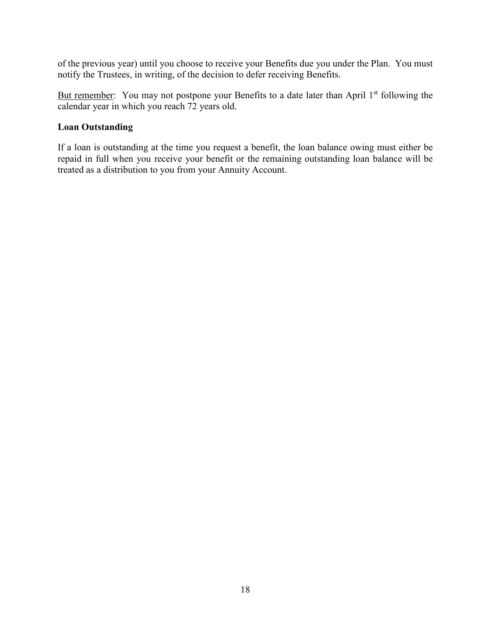of the previous year) until you choose to receive your Benefits due you under the Plan. You must notify the Trustees, in writing, of the decision to defer receiving Benefits.

But remember: You may not postpone your Benefits to a date later than April 1<sup>st</sup> following the calendar year in which you reach 72 years old.

### **Loan Outstanding**

If a loan is outstanding at the time you request a benefit, the loan balance owing must either be repaid in full when you receive your benefit or the remaining outstanding loan balance will be treated as a distribution to you from your Annuity Account.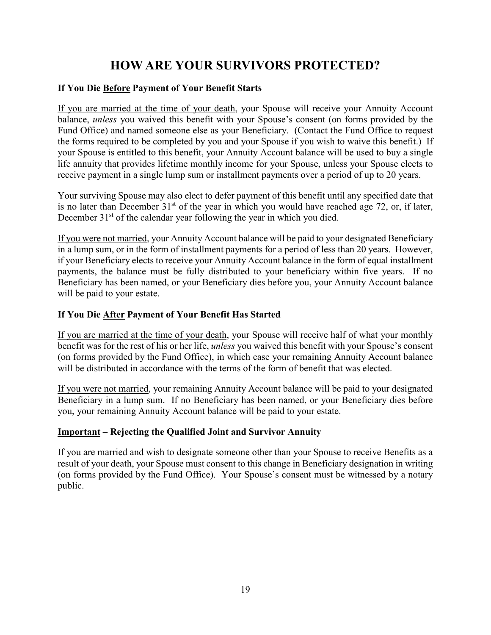# **HOW ARE YOUR SURVIVORS PROTECTED?**

# **If You Die Before Payment of Your Benefit Starts**

If you are married at the time of your death, your Spouse will receive your Annuity Account balance, *unless* you waived this benefit with your Spouse's consent (on forms provided by the Fund Office) and named someone else as your Beneficiary. (Contact the Fund Office to request the forms required to be completed by you and your Spouse if you wish to waive this benefit.) If your Spouse is entitled to this benefit, your Annuity Account balance will be used to buy a single life annuity that provides lifetime monthly income for your Spouse, unless your Spouse elects to receive payment in a single lump sum or installment payments over a period of up to 20 years.

Your surviving Spouse may also elect to defer payment of this benefit until any specified date that is no later than December  $31<sup>st</sup>$  of the year in which you would have reached age 72, or, if later, December  $31<sup>st</sup>$  of the calendar year following the year in which you died.

If you were not married, your Annuity Account balance will be paid to your designated Beneficiary in a lump sum, or in the form of installment payments for a period of less than 20 years. However, if your Beneficiary elects to receive your Annuity Account balance in the form of equal installment payments, the balance must be fully distributed to your beneficiary within five years. If no Beneficiary has been named, or your Beneficiary dies before you, your Annuity Account balance will be paid to your estate.

# **If You Die After Payment of Your Benefit Has Started**

If you are married at the time of your death, your Spouse will receive half of what your monthly benefit was for the rest of his or her life, *unless* you waived this benefit with your Spouse's consent (on forms provided by the Fund Office), in which case your remaining Annuity Account balance will be distributed in accordance with the terms of the form of benefit that was elected.

If you were not married, your remaining Annuity Account balance will be paid to your designated Beneficiary in a lump sum. If no Beneficiary has been named, or your Beneficiary dies before you, your remaining Annuity Account balance will be paid to your estate.

# **Important – Rejecting the Qualified Joint and Survivor Annuity**

If you are married and wish to designate someone other than your Spouse to receive Benefits as a result of your death, your Spouse must consent to this change in Beneficiary designation in writing (on forms provided by the Fund Office). Your Spouse's consent must be witnessed by a notary public.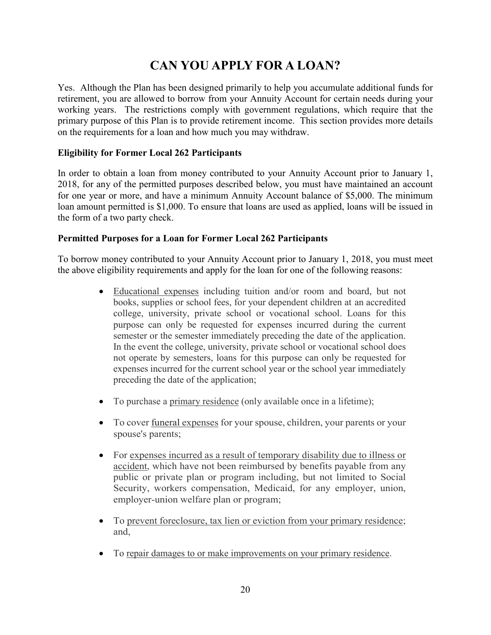# **CAN YOU APPLY FOR A LOAN?**

Yes. Although the Plan has been designed primarily to help you accumulate additional funds for retirement, you are allowed to borrow from your Annuity Account for certain needs during your working years. The restrictions comply with government regulations, which require that the primary purpose of this Plan is to provide retirement income. This section provides more details on the requirements for a loan and how much you may withdraw.

# **Eligibility for Former Local 262 Participants**

In order to obtain a loan from money contributed to your Annuity Account prior to January 1, 2018, for any of the permitted purposes described below, you must have maintained an account for one year or more, and have a minimum Annuity Account balance of \$5,000. The minimum loan amount permitted is \$1,000. To ensure that loans are used as applied, loans will be issued in the form of a two party check.

### **Permitted Purposes for a Loan for Former Local 262 Participants**

To borrow money contributed to your Annuity Account prior to January 1, 2018, you must meet the above eligibility requirements and apply for the loan for one of the following reasons:

- Educational expenses including tuition and/or room and board, but not books, supplies or school fees, for your dependent children at an accredited college, university, private school or vocational school. Loans for this purpose can only be requested for expenses incurred during the current semester or the semester immediately preceding the date of the application. In the event the college, university, private school or vocational school does not operate by semesters, loans for this purpose can only be requested for expenses incurred for the current school year or the school year immediately preceding the date of the application;
- To purchase a primary residence (only available once in a lifetime);
- To cover <u>funeral expenses</u> for your spouse, children, your parents or your spouse's parents;
- For expenses incurred as a result of temporary disability due to illness or accident, which have not been reimbursed by benefits payable from any public or private plan or program including, but not limited to Social Security, workers compensation, Medicaid, for any employer, union, employer-union welfare plan or program;
- To prevent foreclosure, tax lien or eviction from your primary residence; and,
- To repair damages to or make improvements on your primary residence.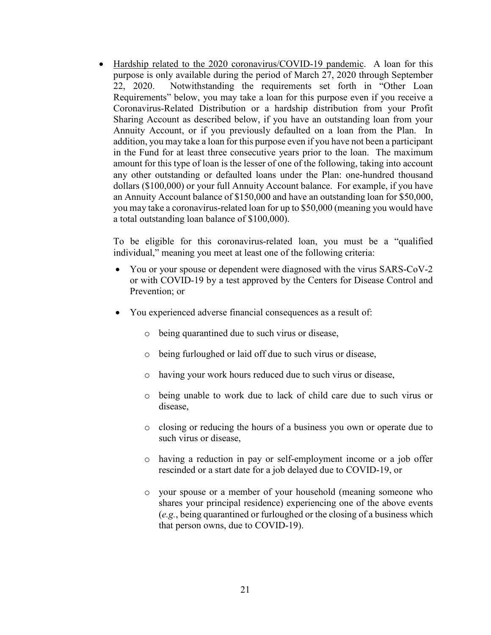• Hardship related to the 2020 coronavirus/COVID-19 pandemic. A loan for this purpose is only available during the period of March 27, 2020 through September 22, 2020. Notwithstanding the requirements set forth in "Other Loan Requirements" below, you may take a loan for this purpose even if you receive a Coronavirus-Related Distribution or a hardship distribution from your Profit Sharing Account as described below, if you have an outstanding loan from your Annuity Account, or if you previously defaulted on a loan from the Plan. In addition, you may take a loan for this purpose even if you have not been a participant in the Fund for at least three consecutive years prior to the loan. The maximum amount for this type of loan is the lesser of one of the following, taking into account any other outstanding or defaulted loans under the Plan: one-hundred thousand dollars (\$100,000) or your full Annuity Account balance. For example, if you have an Annuity Account balance of \$150,000 and have an outstanding loan for \$50,000, you may take a coronavirus-related loan for up to \$50,000 (meaning you would have a total outstanding loan balance of \$100,000).

To be eligible for this coronavirus-related loan, you must be a "qualified individual," meaning you meet at least one of the following criteria:

- You or your spouse or dependent were diagnosed with the virus SARS-CoV-2 or with COVID-19 by a test approved by the Centers for Disease Control and Prevention; or
- You experienced adverse financial consequences as a result of:
	- o being quarantined due to such virus or disease,
	- o being furloughed or laid off due to such virus or disease,
	- o having your work hours reduced due to such virus or disease,
	- o being unable to work due to lack of child care due to such virus or disease,
	- o closing or reducing the hours of a business you own or operate due to such virus or disease,
	- o having a reduction in pay or self-employment income or a job offer rescinded or a start date for a job delayed due to COVID-19, or
	- o your spouse or a member of your household (meaning someone who shares your principal residence) experiencing one of the above events (*e.g.*, being quarantined or furloughed or the closing of a business which that person owns, due to COVID-19).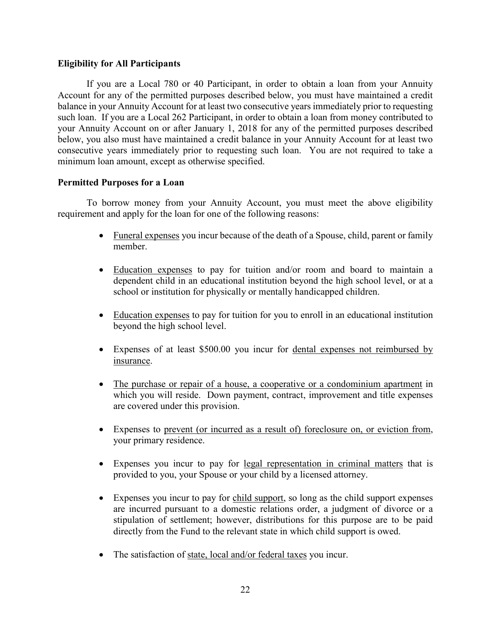#### **Eligibility for All Participants**

If you are a Local 780 or 40 Participant, in order to obtain a loan from your Annuity Account for any of the permitted purposes described below, you must have maintained a credit balance in your Annuity Account for at least two consecutive years immediately prior to requesting such loan. If you are a Local 262 Participant, in order to obtain a loan from money contributed to your Annuity Account on or after January 1, 2018 for any of the permitted purposes described below, you also must have maintained a credit balance in your Annuity Account for at least two consecutive years immediately prior to requesting such loan. You are not required to take a minimum loan amount, except as otherwise specified.

#### **Permitted Purposes for a Loan**

To borrow money from your Annuity Account, you must meet the above eligibility requirement and apply for the loan for one of the following reasons:

- Funeral expenses you incur because of the death of a Spouse, child, parent or family member.
- Education expenses to pay for tuition and/or room and board to maintain a dependent child in an educational institution beyond the high school level, or at a school or institution for physically or mentally handicapped children.
- Education expenses to pay for tuition for you to enroll in an educational institution beyond the high school level.
- Expenses of at least \$500.00 you incur for dental expenses not reimbursed by insurance.
- The purchase or repair of a house, a cooperative or a condominium apartment in which you will reside. Down payment, contract, improvement and title expenses are covered under this provision.
- Expenses to prevent (or incurred as a result of) foreclosure on, or eviction from, your primary residence.
- Expenses you incur to pay for legal representation in criminal matters that is provided to you, your Spouse or your child by a licensed attorney.
- Expenses you incur to pay for child support, so long as the child support expenses are incurred pursuant to a domestic relations order, a judgment of divorce or a stipulation of settlement; however, distributions for this purpose are to be paid directly from the Fund to the relevant state in which child support is owed.
- The satisfaction of state, local and/or federal taxes you incur.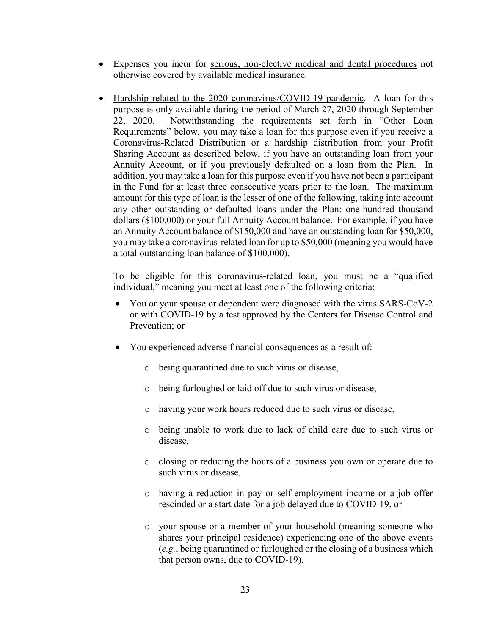- Expenses you incur for serious, non-elective medical and dental procedures not otherwise covered by available medical insurance.
- Hardship related to the 2020 coronavirus/COVID-19 pandemic. A loan for this purpose is only available during the period of March 27, 2020 through September 22, 2020. Notwithstanding the requirements set forth in "Other Loan Requirements" below, you may take a loan for this purpose even if you receive a Coronavirus-Related Distribution or a hardship distribution from your Profit Sharing Account as described below, if you have an outstanding loan from your Annuity Account, or if you previously defaulted on a loan from the Plan. In addition, you may take a loan for this purpose even if you have not been a participant in the Fund for at least three consecutive years prior to the loan. The maximum amount for this type of loan is the lesser of one of the following, taking into account any other outstanding or defaulted loans under the Plan: one-hundred thousand dollars (\$100,000) or your full Annuity Account balance. For example, if you have an Annuity Account balance of \$150,000 and have an outstanding loan for \$50,000, you may take a coronavirus-related loan for up to \$50,000 (meaning you would have a total outstanding loan balance of \$100,000).

To be eligible for this coronavirus-related loan, you must be a "qualified individual," meaning you meet at least one of the following criteria:

- You or your spouse or dependent were diagnosed with the virus SARS-CoV-2 or with COVID-19 by a test approved by the Centers for Disease Control and Prevention; or
- You experienced adverse financial consequences as a result of:
	- o being quarantined due to such virus or disease,
	- o being furloughed or laid off due to such virus or disease,
	- o having your work hours reduced due to such virus or disease,
	- o being unable to work due to lack of child care due to such virus or disease,
	- o closing or reducing the hours of a business you own or operate due to such virus or disease,
	- o having a reduction in pay or self-employment income or a job offer rescinded or a start date for a job delayed due to COVID-19, or
	- o your spouse or a member of your household (meaning someone who shares your principal residence) experiencing one of the above events (*e.g.*, being quarantined or furloughed or the closing of a business which that person owns, due to COVID-19).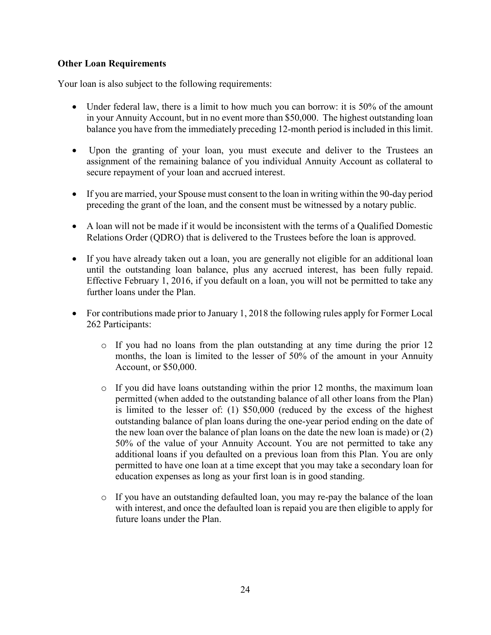### **Other Loan Requirements**

Your loan is also subject to the following requirements:

- Under federal law, there is a limit to how much you can borrow: it is 50% of the amount in your Annuity Account, but in no event more than \$50,000. The highest outstanding loan balance you have from the immediately preceding 12-month period is included in this limit.
- Upon the granting of your loan, you must execute and deliver to the Trustees an assignment of the remaining balance of you individual Annuity Account as collateral to secure repayment of your loan and accrued interest.
- If you are married, your Spouse must consent to the loan in writing within the 90-day period preceding the grant of the loan, and the consent must be witnessed by a notary public.
- A loan will not be made if it would be inconsistent with the terms of a Qualified Domestic Relations Order (QDRO) that is delivered to the Trustees before the loan is approved.
- If you have already taken out a loan, you are generally not eligible for an additional loan until the outstanding loan balance, plus any accrued interest, has been fully repaid. Effective February 1, 2016, if you default on a loan, you will not be permitted to take any further loans under the Plan.
- For contributions made prior to January 1, 2018 the following rules apply for Former Local 262 Participants:
	- $\circ$  If you had no loans from the plan outstanding at any time during the prior 12 months, the loan is limited to the lesser of 50% of the amount in your Annuity Account, or \$50,000.
	- o If you did have loans outstanding within the prior 12 months, the maximum loan permitted (when added to the outstanding balance of all other loans from the Plan) is limited to the lesser of: (1) \$50,000 (reduced by the excess of the highest outstanding balance of plan loans during the one-year period ending on the date of the new loan over the balance of plan loans on the date the new loan is made) or (2) 50% of the value of your Annuity Account. You are not permitted to take any additional loans if you defaulted on a previous loan from this Plan. You are only permitted to have one loan at a time except that you may take a secondary loan for education expenses as long as your first loan is in good standing.
	- $\circ$  If you have an outstanding defaulted loan, you may re-pay the balance of the loan with interest, and once the defaulted loan is repaid you are then eligible to apply for future loans under the Plan.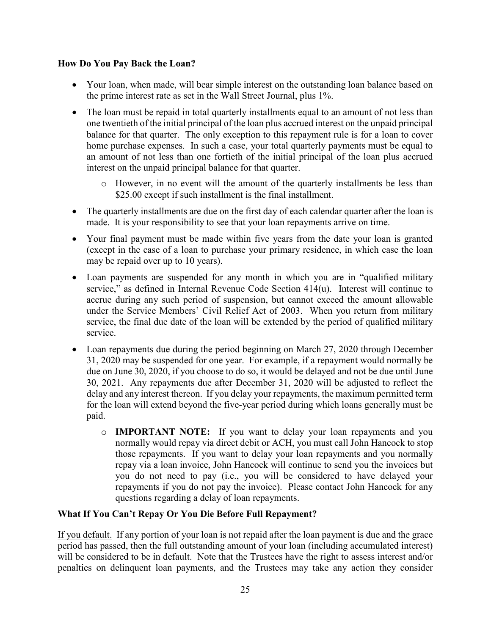### **How Do You Pay Back the Loan?**

- Your loan, when made, will bear simple interest on the outstanding loan balance based on the prime interest rate as set in the Wall Street Journal, plus 1%.
- The loan must be repaid in total quarterly installments equal to an amount of not less than one twentieth of the initial principal of the loan plus accrued interest on the unpaid principal balance for that quarter. The only exception to this repayment rule is for a loan to cover home purchase expenses. In such a case, your total quarterly payments must be equal to an amount of not less than one fortieth of the initial principal of the loan plus accrued interest on the unpaid principal balance for that quarter.
	- o However, in no event will the amount of the quarterly installments be less than \$25.00 except if such installment is the final installment.
- The quarterly installments are due on the first day of each calendar quarter after the loan is made. It is your responsibility to see that your loan repayments arrive on time.
- Your final payment must be made within five years from the date your loan is granted (except in the case of a loan to purchase your primary residence, in which case the loan may be repaid over up to 10 years).
- Loan payments are suspended for any month in which you are in "qualified military service," as defined in Internal Revenue Code Section 414(u). Interest will continue to accrue during any such period of suspension, but cannot exceed the amount allowable under the Service Members' Civil Relief Act of 2003. When you return from military service, the final due date of the loan will be extended by the period of qualified military service.
- Loan repayments due during the period beginning on March 27, 2020 through December 31, 2020 may be suspended for one year. For example, if a repayment would normally be due on June 30, 2020, if you choose to do so, it would be delayed and not be due until June 30, 2021. Any repayments due after December 31, 2020 will be adjusted to reflect the delay and any interest thereon. If you delay your repayments, the maximum permitted term for the loan will extend beyond the five-year period during which loans generally must be paid.
	- o **IMPORTANT NOTE:** If you want to delay your loan repayments and you normally would repay via direct debit or ACH, you must call John Hancock to stop those repayments. If you want to delay your loan repayments and you normally repay via a loan invoice, John Hancock will continue to send you the invoices but you do not need to pay (i.e., you will be considered to have delayed your repayments if you do not pay the invoice). Please contact John Hancock for any questions regarding a delay of loan repayments.

# **What If You Can't Repay Or You Die Before Full Repayment?**

If you default. If any portion of your loan is not repaid after the loan payment is due and the grace period has passed, then the full outstanding amount of your loan (including accumulated interest) will be considered to be in default. Note that the Trustees have the right to assess interest and/or penalties on delinquent loan payments, and the Trustees may take any action they consider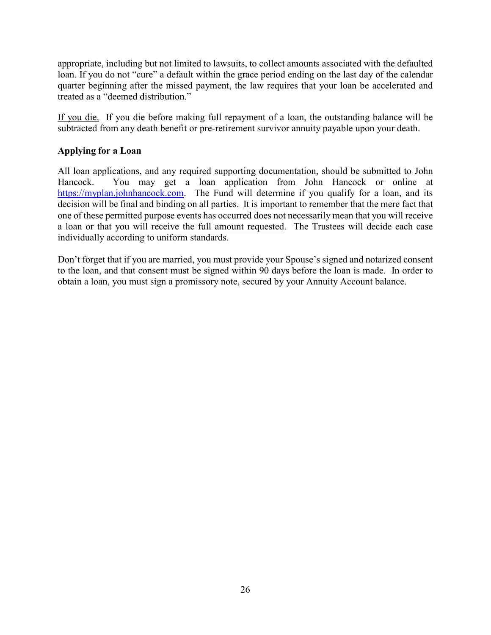appropriate, including but not limited to lawsuits, to collect amounts associated with the defaulted loan. If you do not "cure" a default within the grace period ending on the last day of the calendar quarter beginning after the missed payment, the law requires that your loan be accelerated and treated as a "deemed distribution."

If you die. If you die before making full repayment of a loan, the outstanding balance will be subtracted from any death benefit or pre-retirement survivor annuity payable upon your death.

# **Applying for a Loan**

All loan applications, and any required supporting documentation, should be submitted to John Hancock. You may get a loan application from John Hancock or online at [https://myplan.johnhancock.com.](https://myplan.johnhancock.com/) The Fund will determine if you qualify for a loan, and its decision will be final and binding on all parties. It is important to remember that the mere fact that one of these permitted purpose events has occurred does not necessarily mean that you will receive a loan or that you will receive the full amount requested. The Trustees will decide each case individually according to uniform standards.

Don't forget that if you are married, you must provide your Spouse's signed and notarized consent to the loan, and that consent must be signed within 90 days before the loan is made. In order to obtain a loan, you must sign a promissory note, secured by your Annuity Account balance.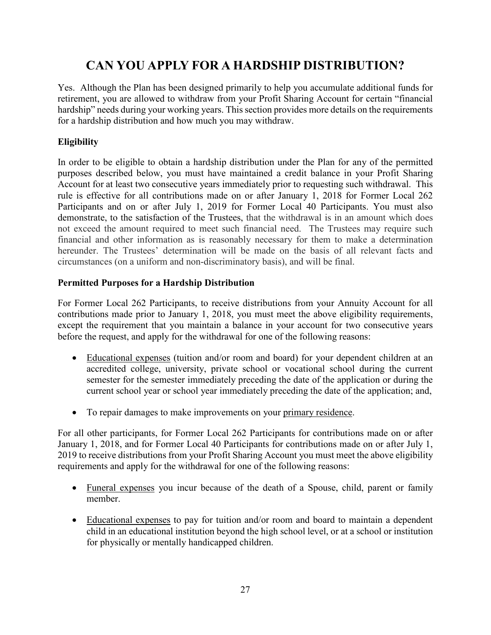# **CAN YOU APPLY FOR A HARDSHIP DISTRIBUTION?**

Yes. Although the Plan has been designed primarily to help you accumulate additional funds for retirement, you are allowed to withdraw from your Profit Sharing Account for certain "financial hardship" needs during your working years. This section provides more details on the requirements for a hardship distribution and how much you may withdraw.

# **Eligibility**

In order to be eligible to obtain a hardship distribution under the Plan for any of the permitted purposes described below, you must have maintained a credit balance in your Profit Sharing Account for at least two consecutive years immediately prior to requesting such withdrawal. This rule is effective for all contributions made on or after January 1, 2018 for Former Local 262 Participants and on or after July 1, 2019 for Former Local 40 Participants. You must also demonstrate, to the satisfaction of the Trustees, that the withdrawal is in an amount which does not exceed the amount required to meet such financial need. The Trustees may require such financial and other information as is reasonably necessary for them to make a determination hereunder. The Trustees' determination will be made on the basis of all relevant facts and circumstances (on a uniform and non-discriminatory basis), and will be final.

# **Permitted Purposes for a Hardship Distribution**

For Former Local 262 Participants, to receive distributions from your Annuity Account for all contributions made prior to January 1, 2018, you must meet the above eligibility requirements, except the requirement that you maintain a balance in your account for two consecutive years before the request, and apply for the withdrawal for one of the following reasons:

- Educational expenses (tuition and/or room and board) for your dependent children at an accredited college, university, private school or vocational school during the current semester for the semester immediately preceding the date of the application or during the current school year or school year immediately preceding the date of the application; and,
- To repair damages to make improvements on your primary residence.

For all other participants, for Former Local 262 Participants for contributions made on or after January 1, 2018, and for Former Local 40 Participants for contributions made on or after July 1, 2019 to receive distributions from your Profit Sharing Account you must meet the above eligibility requirements and apply for the withdrawal for one of the following reasons:

- Funeral expenses you incur because of the death of a Spouse, child, parent or family member.
- Educational expenses to pay for tuition and/or room and board to maintain a dependent child in an educational institution beyond the high school level, or at a school or institution for physically or mentally handicapped children.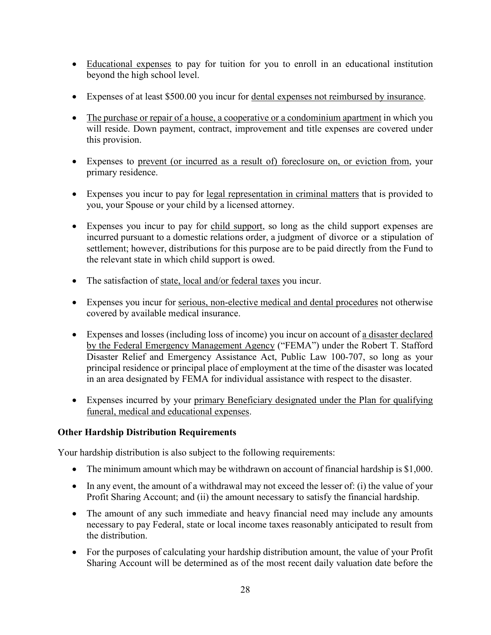- Educational expenses to pay for tuition for you to enroll in an educational institution beyond the high school level.
- Expenses of at least \$500.00 you incur for dental expenses not reimbursed by insurance.
- The purchase or repair of a house, a cooperative or a condominium apartment in which you will reside. Down payment, contract, improvement and title expenses are covered under this provision.
- Expenses to prevent (or incurred as a result of) foreclosure on, or eviction from, your primary residence.
- Expenses you incur to pay for legal representation in criminal matters that is provided to you, your Spouse or your child by a licensed attorney.
- Expenses you incur to pay for child support, so long as the child support expenses are incurred pursuant to a domestic relations order, a judgment of divorce or a stipulation of settlement; however, distributions for this purpose are to be paid directly from the Fund to the relevant state in which child support is owed.
- The satisfaction of state, local and/or federal taxes you incur.
- Expenses you incur for serious, non-elective medical and dental procedures not otherwise covered by available medical insurance.
- Expenses and losses (including loss of income) you incur on account of a disaster declared by the Federal Emergency Management Agency ("FEMA") under the Robert T. Stafford Disaster Relief and Emergency Assistance Act, Public Law 100-707, so long as your principal residence or principal place of employment at the time of the disaster was located in an area designated by FEMA for individual assistance with respect to the disaster.
- Expenses incurred by your primary Beneficiary designated under the Plan for qualifying funeral, medical and educational expenses.

# **Other Hardship Distribution Requirements**

Your hardship distribution is also subject to the following requirements:

- The minimum amount which may be withdrawn on account of financial hardship is \$1,000.
- In any event, the amount of a withdrawal may not exceed the lesser of: (i) the value of your Profit Sharing Account; and (ii) the amount necessary to satisfy the financial hardship.
- The amount of any such immediate and heavy financial need may include any amounts necessary to pay Federal, state or local income taxes reasonably anticipated to result from the distribution.
- For the purposes of calculating your hardship distribution amount, the value of your Profit Sharing Account will be determined as of the most recent daily valuation date before the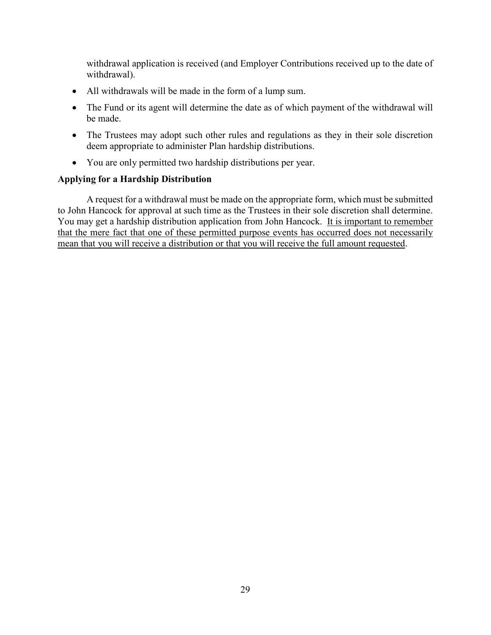withdrawal application is received (and Employer Contributions received up to the date of withdrawal).

- All withdrawals will be made in the form of a lump sum.
- The Fund or its agent will determine the date as of which payment of the withdrawal will be made.
- The Trustees may adopt such other rules and regulations as they in their sole discretion deem appropriate to administer Plan hardship distributions.
- You are only permitted two hardship distributions per year.

### **Applying for a Hardship Distribution**

A request for a withdrawal must be made on the appropriate form, which must be submitted to John Hancock for approval at such time as the Trustees in their sole discretion shall determine. You may get a hardship distribution application from John Hancock. It is important to remember that the mere fact that one of these permitted purpose events has occurred does not necessarily mean that you will receive a distribution or that you will receive the full amount requested.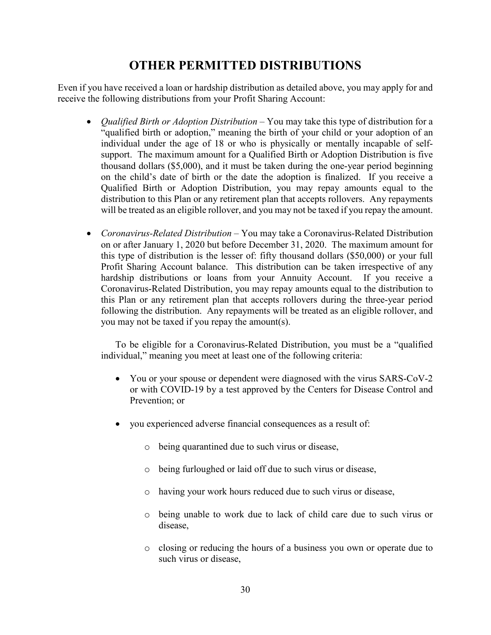# **OTHER PERMITTED DISTRIBUTIONS**

Even if you have received a loan or hardship distribution as detailed above, you may apply for and receive the following distributions from your Profit Sharing Account:

- *Qualified Birth or Adoption Distribution* You may take this type of distribution for a "qualified birth or adoption," meaning the birth of your child or your adoption of an individual under the age of 18 or who is physically or mentally incapable of selfsupport. The maximum amount for a Qualified Birth or Adoption Distribution is five thousand dollars (\$5,000), and it must be taken during the one-year period beginning on the child's date of birth or the date the adoption is finalized. If you receive a Qualified Birth or Adoption Distribution, you may repay amounts equal to the distribution to this Plan or any retirement plan that accepts rollovers. Any repayments will be treated as an eligible rollover, and you may not be taxed if you repay the amount.
- *Coronavirus-Related Distribution* You may take a Coronavirus-Related Distribution on or after January 1, 2020 but before December 31, 2020. The maximum amount for this type of distribution is the lesser of: fifty thousand dollars (\$50,000) or your full Profit Sharing Account balance. This distribution can be taken irrespective of any hardship distributions or loans from your Annuity Account. If you receive a Coronavirus-Related Distribution, you may repay amounts equal to the distribution to this Plan or any retirement plan that accepts rollovers during the three-year period following the distribution. Any repayments will be treated as an eligible rollover, and you may not be taxed if you repay the amount(s).

To be eligible for a Coronavirus-Related Distribution, you must be a "qualified individual," meaning you meet at least one of the following criteria:

- You or your spouse or dependent were diagnosed with the virus SARS-CoV-2 or with COVID-19 by a test approved by the Centers for Disease Control and Prevention; or
- you experienced adverse financial consequences as a result of:
	- o being quarantined due to such virus or disease,
	- o being furloughed or laid off due to such virus or disease,
	- o having your work hours reduced due to such virus or disease,
	- o being unable to work due to lack of child care due to such virus or disease,
	- o closing or reducing the hours of a business you own or operate due to such virus or disease,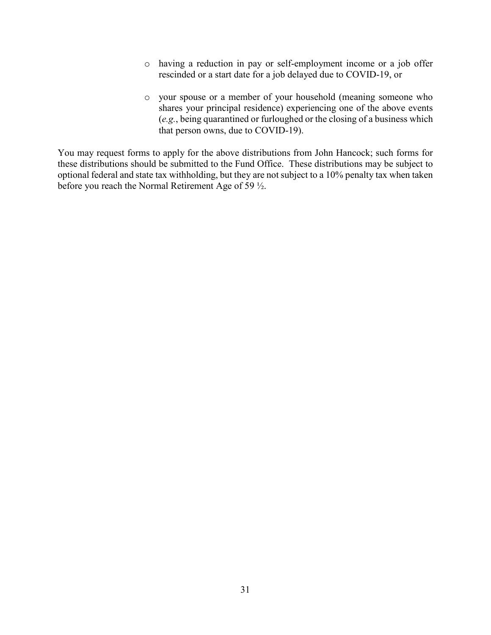- o having a reduction in pay or self-employment income or a job offer rescinded or a start date for a job delayed due to COVID-19, or
- o your spouse or a member of your household (meaning someone who shares your principal residence) experiencing one of the above events (*e.g.*, being quarantined or furloughed or the closing of a business which that person owns, due to COVID-19).

You may request forms to apply for the above distributions from John Hancock; such forms for these distributions should be submitted to the Fund Office. These distributions may be subject to optional federal and state tax withholding, but they are not subject to a 10% penalty tax when taken before you reach the Normal Retirement Age of 59 ½.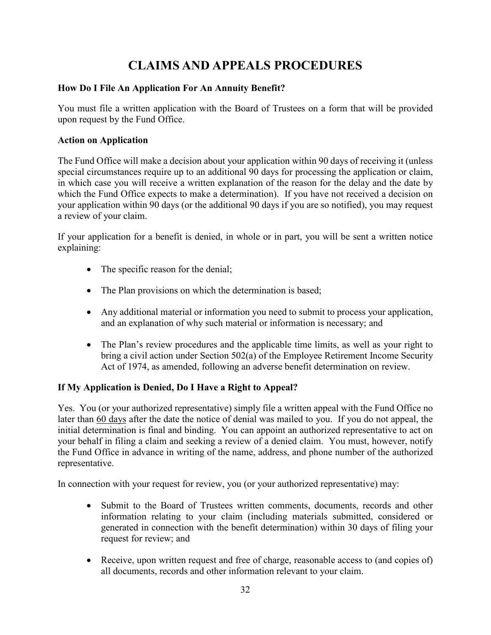# **CLAIMS AND APPEALS PROCEDURES**

# **How Do I File An Application For An Annuity Benefit?**

You must file a written application with the Board of Trustees on a form that will be provided upon request by the Fund Office.

# **Action on Application**

The Fund Office will make a decision about your application within 90 days of receiving it (unless special circumstances require up to an additional 90 days for processing the application or claim, in which case you will receive a written explanation of the reason for the delay and the date by which the Fund Office expects to make a determination). If you have not received a decision on your application within 90 days (or the additional 90 days if you are so notified), you may request a review of your claim.

If your application for a benefit is denied, in whole or in part, you will be sent a written notice explaining:

- The specific reason for the denial;
- The Plan provisions on which the determination is based;
- Any additional material or information you need to submit to process your application, and an explanation of why such material or information is necessary; and
- The Plan's review procedures and the applicable time limits, as well as your right to bring a civil action under Section 502(a) of the Employee Retirement Income Security Act of 1974, as amended, following an adverse benefit determination on review.

# **If My Application is Denied, Do I Have a Right to Appeal?**

Yes. You (or your authorized representative) simply file a written appeal with the Fund Office no later than 60 days after the date the notice of denial was mailed to you. If you do not appeal, the initial determination is final and binding. You can appoint an authorized representative to act on your behalf in filing a claim and seeking a review of a denied claim. You must, however, notify the Fund Office in advance in writing of the name, address, and phone number of the authorized representative.

In connection with your request for review, you (or your authorized representative) may:

- Submit to the Board of Trustees written comments, documents, records and other information relating to your claim (including materials submitted, considered or generated in connection with the benefit determination) within 30 days of filing your request for review; and
- Receive, upon written request and free of charge, reasonable access to (and copies of) all documents, records and other information relevant to your claim.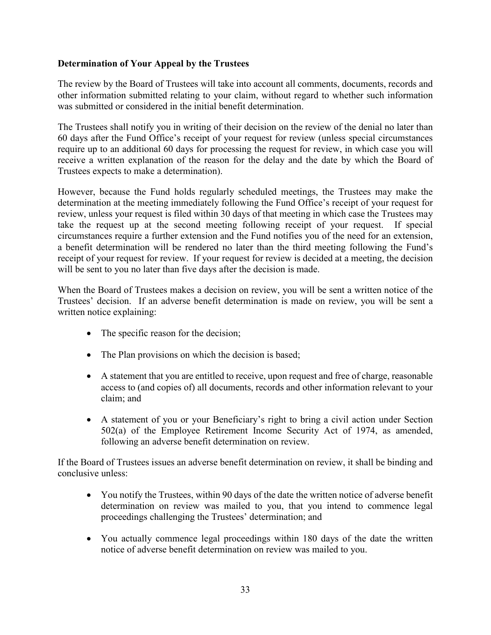# **Determination of Your Appeal by the Trustees**

The review by the Board of Trustees will take into account all comments, documents, records and other information submitted relating to your claim, without regard to whether such information was submitted or considered in the initial benefit determination.

The Trustees shall notify you in writing of their decision on the review of the denial no later than 60 days after the Fund Office's receipt of your request for review (unless special circumstances require up to an additional 60 days for processing the request for review, in which case you will receive a written explanation of the reason for the delay and the date by which the Board of Trustees expects to make a determination).

However, because the Fund holds regularly scheduled meetings, the Trustees may make the determination at the meeting immediately following the Fund Office's receipt of your request for review, unless your request is filed within 30 days of that meeting in which case the Trustees may take the request up at the second meeting following receipt of your request. If special circumstances require a further extension and the Fund notifies you of the need for an extension, a benefit determination will be rendered no later than the third meeting following the Fund's receipt of your request for review. If your request for review is decided at a meeting, the decision will be sent to you no later than five days after the decision is made.

When the Board of Trustees makes a decision on review, you will be sent a written notice of the Trustees' decision. If an adverse benefit determination is made on review, you will be sent a written notice explaining:

- The specific reason for the decision;
- The Plan provisions on which the decision is based;
- A statement that you are entitled to receive, upon request and free of charge, reasonable access to (and copies of) all documents, records and other information relevant to your claim; and
- A statement of you or your Beneficiary's right to bring a civil action under Section 502(a) of the Employee Retirement Income Security Act of 1974, as amended, following an adverse benefit determination on review.

If the Board of Trustees issues an adverse benefit determination on review, it shall be binding and conclusive unless:

- You notify the Trustees, within 90 days of the date the written notice of adverse benefit determination on review was mailed to you, that you intend to commence legal proceedings challenging the Trustees' determination; and
- You actually commence legal proceedings within 180 days of the date the written notice of adverse benefit determination on review was mailed to you.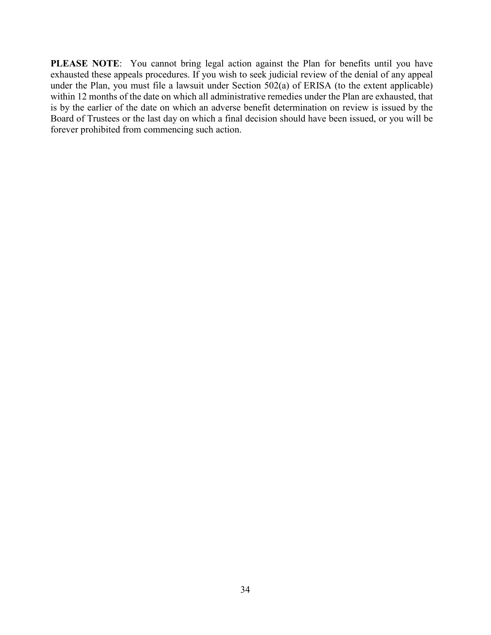**PLEASE NOTE**: You cannot bring legal action against the Plan for benefits until you have exhausted these appeals procedures. If you wish to seek judicial review of the denial of any appeal under the Plan, you must file a lawsuit under Section 502(a) of ERISA (to the extent applicable) within 12 months of the date on which all administrative remedies under the Plan are exhausted, that is by the earlier of the date on which an adverse benefit determination on review is issued by the Board of Trustees or the last day on which a final decision should have been issued, or you will be forever prohibited from commencing such action.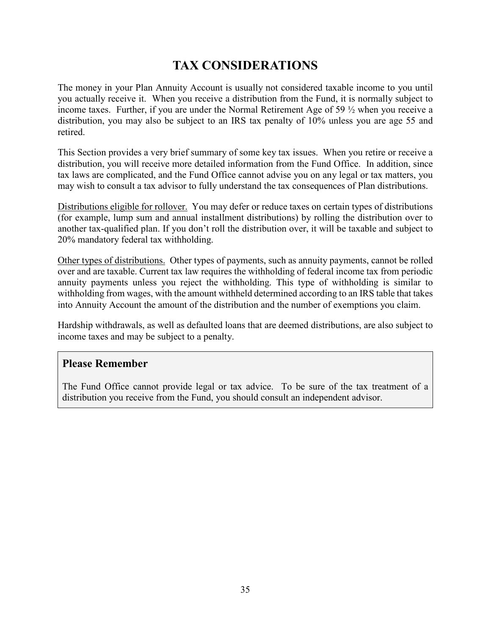# **TAX CONSIDERATIONS**

The money in your Plan Annuity Account is usually not considered taxable income to you until you actually receive it. When you receive a distribution from the Fund, it is normally subject to income taxes. Further, if you are under the Normal Retirement Age of 59 ½ when you receive a distribution, you may also be subject to an IRS tax penalty of 10% unless you are age 55 and retired.

This Section provides a very brief summary of some key tax issues. When you retire or receive a distribution, you will receive more detailed information from the Fund Office. In addition, since tax laws are complicated, and the Fund Office cannot advise you on any legal or tax matters, you may wish to consult a tax advisor to fully understand the tax consequences of Plan distributions.

Distributions eligible for rollover. You may defer or reduce taxes on certain types of distributions (for example, lump sum and annual installment distributions) by rolling the distribution over to another tax-qualified plan. If you don't roll the distribution over, it will be taxable and subject to 20% mandatory federal tax withholding.

Other types of distributions. Other types of payments, such as annuity payments, cannot be rolled over and are taxable. Current tax law requires the withholding of federal income tax from periodic annuity payments unless you reject the withholding. This type of withholding is similar to withholding from wages, with the amount withheld determined according to an IRS table that takes into Annuity Account the amount of the distribution and the number of exemptions you claim.

Hardship withdrawals, as well as defaulted loans that are deemed distributions, are also subject to income taxes and may be subject to a penalty.

# **Please Remember**

The Fund Office cannot provide legal or tax advice. To be sure of the tax treatment of a distribution you receive from the Fund, you should consult an independent advisor.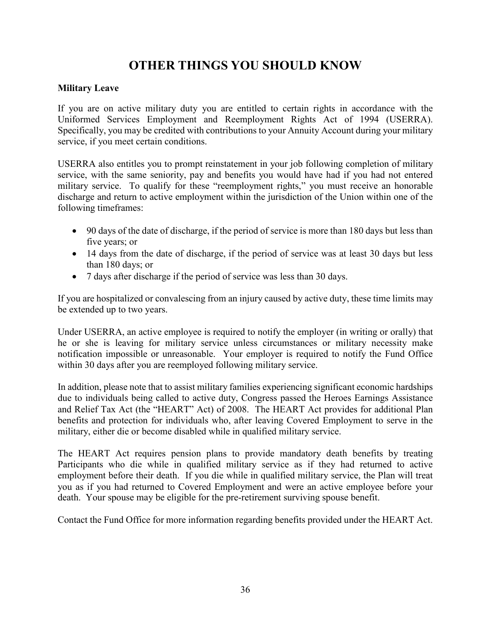# **OTHER THINGS YOU SHOULD KNOW**

# **Military Leave**

If you are on active military duty you are entitled to certain rights in accordance with the Uniformed Services Employment and Reemployment Rights Act of 1994 (USERRA). Specifically, you may be credited with contributions to your Annuity Account during your military service, if you meet certain conditions.

USERRA also entitles you to prompt reinstatement in your job following completion of military service, with the same seniority, pay and benefits you would have had if you had not entered military service. To qualify for these "reemployment rights," you must receive an honorable discharge and return to active employment within the jurisdiction of the Union within one of the following timeframes:

- 90 days of the date of discharge, if the period of service is more than 180 days but less than five years; or
- 14 days from the date of discharge, if the period of service was at least 30 days but less than 180 days; or
- 7 days after discharge if the period of service was less than 30 days.

If you are hospitalized or convalescing from an injury caused by active duty, these time limits may be extended up to two years.

Under USERRA, an active employee is required to notify the employer (in writing or orally) that he or she is leaving for military service unless circumstances or military necessity make notification impossible or unreasonable. Your employer is required to notify the Fund Office within 30 days after you are reemployed following military service.

In addition, please note that to assist military families experiencing significant economic hardships due to individuals being called to active duty, Congress passed the Heroes Earnings Assistance and Relief Tax Act (the "HEART" Act) of 2008. The HEART Act provides for additional Plan benefits and protection for individuals who, after leaving Covered Employment to serve in the military, either die or become disabled while in qualified military service.

The HEART Act requires pension plans to provide mandatory death benefits by treating Participants who die while in qualified military service as if they had returned to active employment before their death. If you die while in qualified military service, the Plan will treat you as if you had returned to Covered Employment and were an active employee before your death. Your spouse may be eligible for the pre-retirement surviving spouse benefit.

Contact the Fund Office for more information regarding benefits provided under the HEART Act.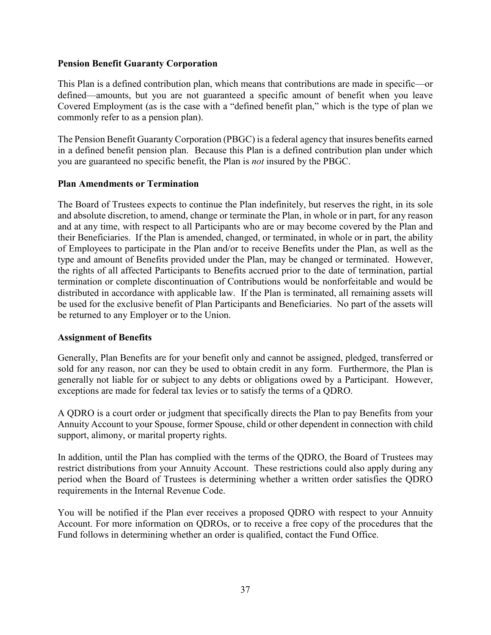### **Pension Benefit Guaranty Corporation**

This Plan is a defined contribution plan, which means that contributions are made in specific—or defined—amounts, but you are not guaranteed a specific amount of benefit when you leave Covered Employment (as is the case with a "defined benefit plan," which is the type of plan we commonly refer to as a pension plan).

The Pension Benefit Guaranty Corporation (PBGC) is a federal agency that insures benefits earned in a defined benefit pension plan. Because this Plan is a defined contribution plan under which you are guaranteed no specific benefit, the Plan is *not* insured by the PBGC.

### **Plan Amendments or Termination**

The Board of Trustees expects to continue the Plan indefinitely, but reserves the right, in its sole and absolute discretion, to amend, change or terminate the Plan, in whole or in part, for any reason and at any time, with respect to all Participants who are or may become covered by the Plan and their Beneficiaries. If the Plan is amended, changed, or terminated, in whole or in part, the ability of Employees to participate in the Plan and/or to receive Benefits under the Plan, as well as the type and amount of Benefits provided under the Plan, may be changed or terminated. However, the rights of all affected Participants to Benefits accrued prior to the date of termination, partial termination or complete discontinuation of Contributions would be nonforfeitable and would be distributed in accordance with applicable law. If the Plan is terminated, all remaining assets will be used for the exclusive benefit of Plan Participants and Beneficiaries. No part of the assets will be returned to any Employer or to the Union.

# **Assignment of Benefits**

Generally, Plan Benefits are for your benefit only and cannot be assigned, pledged, transferred or sold for any reason, nor can they be used to obtain credit in any form. Furthermore, the Plan is generally not liable for or subject to any debts or obligations owed by a Participant. However, exceptions are made for federal tax levies or to satisfy the terms of a QDRO.

A QDRO is a court order or judgment that specifically directs the Plan to pay Benefits from your Annuity Account to your Spouse, former Spouse, child or other dependent in connection with child support, alimony, or marital property rights.

In addition, until the Plan has complied with the terms of the QDRO, the Board of Trustees may restrict distributions from your Annuity Account. These restrictions could also apply during any period when the Board of Trustees is determining whether a written order satisfies the QDRO requirements in the Internal Revenue Code.

You will be notified if the Plan ever receives a proposed QDRO with respect to your Annuity Account. For more information on QDROs, or to receive a free copy of the procedures that the Fund follows in determining whether an order is qualified, contact the Fund Office.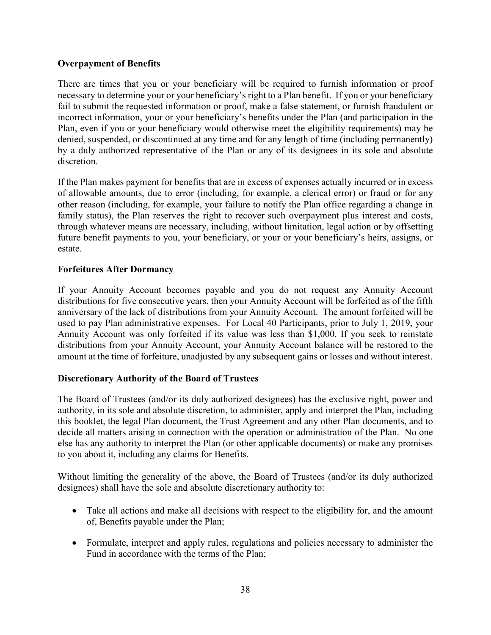# **Overpayment of Benefits**

There are times that you or your beneficiary will be required to furnish information or proof necessary to determine your or your beneficiary's right to a Plan benefit. If you or your beneficiary fail to submit the requested information or proof, make a false statement, or furnish fraudulent or incorrect information, your or your beneficiary's benefits under the Plan (and participation in the Plan, even if you or your beneficiary would otherwise meet the eligibility requirements) may be denied, suspended, or discontinued at any time and for any length of time (including permanently) by a duly authorized representative of the Plan or any of its designees in its sole and absolute discretion.

If the Plan makes payment for benefits that are in excess of expenses actually incurred or in excess of allowable amounts, due to error (including, for example, a clerical error) or fraud or for any other reason (including, for example, your failure to notify the Plan office regarding a change in family status), the Plan reserves the right to recover such overpayment plus interest and costs, through whatever means are necessary, including, without limitation, legal action or by offsetting future benefit payments to you, your beneficiary, or your or your beneficiary's heirs, assigns, or estate.

# **Forfeitures After Dormancy**

If your Annuity Account becomes payable and you do not request any Annuity Account distributions for five consecutive years, then your Annuity Account will be forfeited as of the fifth anniversary of the lack of distributions from your Annuity Account. The amount forfeited will be used to pay Plan administrative expenses. For Local 40 Participants, prior to July 1, 2019, your Annuity Account was only forfeited if its value was less than \$1,000. If you seek to reinstate distributions from your Annuity Account, your Annuity Account balance will be restored to the amount at the time of forfeiture, unadjusted by any subsequent gains or losses and without interest.

# **Discretionary Authority of the Board of Trustees**

The Board of Trustees (and/or its duly authorized designees) has the exclusive right, power and authority, in its sole and absolute discretion, to administer, apply and interpret the Plan, including this booklet, the legal Plan document, the Trust Agreement and any other Plan documents, and to decide all matters arising in connection with the operation or administration of the Plan. No one else has any authority to interpret the Plan (or other applicable documents) or make any promises to you about it, including any claims for Benefits.

Without limiting the generality of the above, the Board of Trustees (and/or its duly authorized designees) shall have the sole and absolute discretionary authority to:

- Take all actions and make all decisions with respect to the eligibility for, and the amount of, Benefits payable under the Plan;
- Formulate, interpret and apply rules, regulations and policies necessary to administer the Fund in accordance with the terms of the Plan;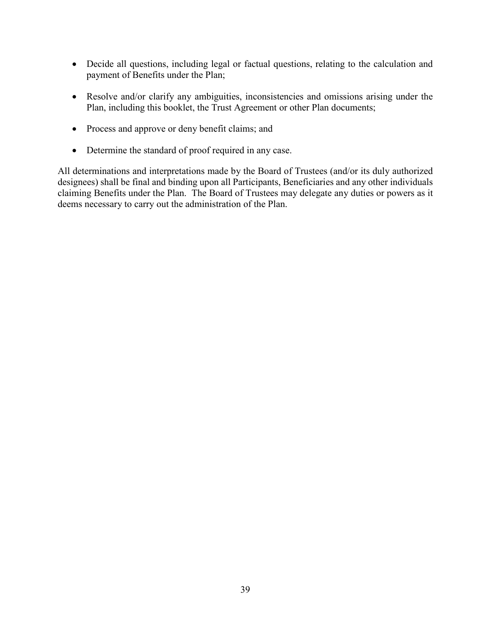- Decide all questions, including legal or factual questions, relating to the calculation and payment of Benefits under the Plan;
- Resolve and/or clarify any ambiguities, inconsistencies and omissions arising under the Plan, including this booklet, the Trust Agreement or other Plan documents;
- Process and approve or deny benefit claims; and
- Determine the standard of proof required in any case.

All determinations and interpretations made by the Board of Trustees (and/or its duly authorized designees) shall be final and binding upon all Participants, Beneficiaries and any other individuals claiming Benefits under the Plan. The Board of Trustees may delegate any duties or powers as it deems necessary to carry out the administration of the Plan.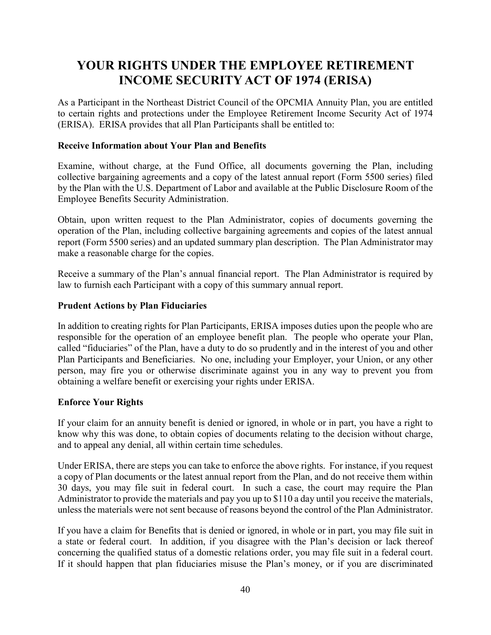# **YOUR RIGHTS UNDER THE EMPLOYEE RETIREMENT INCOME SECURITY ACT OF 1974 (ERISA)**

As a Participant in the Northeast District Council of the OPCMIA Annuity Plan, you are entitled to certain rights and protections under the Employee Retirement Income Security Act of 1974 (ERISA). ERISA provides that all Plan Participants shall be entitled to:

# **Receive Information about Your Plan and Benefits**

Examine, without charge, at the Fund Office, all documents governing the Plan, including collective bargaining agreements and a copy of the latest annual report (Form 5500 series) filed by the Plan with the U.S. Department of Labor and available at the Public Disclosure Room of the Employee Benefits Security Administration.

Obtain, upon written request to the Plan Administrator, copies of documents governing the operation of the Plan, including collective bargaining agreements and copies of the latest annual report (Form 5500 series) and an updated summary plan description. The Plan Administrator may make a reasonable charge for the copies.

Receive a summary of the Plan's annual financial report. The Plan Administrator is required by law to furnish each Participant with a copy of this summary annual report.

# **Prudent Actions by Plan Fiduciaries**

In addition to creating rights for Plan Participants, ERISA imposes duties upon the people who are responsible for the operation of an employee benefit plan. The people who operate your Plan, called "fiduciaries" of the Plan, have a duty to do so prudently and in the interest of you and other Plan Participants and Beneficiaries. No one, including your Employer, your Union, or any other person, may fire you or otherwise discriminate against you in any way to prevent you from obtaining a welfare benefit or exercising your rights under ERISA.

# **Enforce Your Rights**

If your claim for an annuity benefit is denied or ignored, in whole or in part, you have a right to know why this was done, to obtain copies of documents relating to the decision without charge, and to appeal any denial, all within certain time schedules.

Under ERISA, there are steps you can take to enforce the above rights. For instance, if you request a copy of Plan documents or the latest annual report from the Plan, and do not receive them within 30 days, you may file suit in federal court. In such a case, the court may require the Plan Administrator to provide the materials and pay you up to \$110 a day until you receive the materials, unless the materials were not sent because of reasons beyond the control of the Plan Administrator.

If you have a claim for Benefits that is denied or ignored, in whole or in part, you may file suit in a state or federal court. In addition, if you disagree with the Plan's decision or lack thereof concerning the qualified status of a domestic relations order, you may file suit in a federal court. If it should happen that plan fiduciaries misuse the Plan's money, or if you are discriminated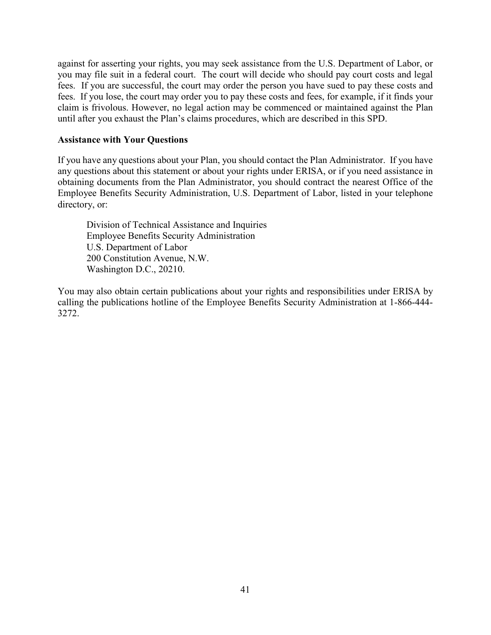against for asserting your rights, you may seek assistance from the U.S. Department of Labor, or you may file suit in a federal court. The court will decide who should pay court costs and legal fees. If you are successful, the court may order the person you have sued to pay these costs and fees. If you lose, the court may order you to pay these costs and fees, for example, if it finds your claim is frivolous. However, no legal action may be commenced or maintained against the Plan until after you exhaust the Plan's claims procedures, which are described in this SPD.

#### **Assistance with Your Questions**

If you have any questions about your Plan, you should contact the Plan Administrator. If you have any questions about this statement or about your rights under ERISA, or if you need assistance in obtaining documents from the Plan Administrator, you should contract the nearest Office of the Employee Benefits Security Administration, U.S. Department of Labor, listed in your telephone directory, or:

Division of Technical Assistance and Inquiries Employee Benefits Security Administration U.S. Department of Labor 200 Constitution Avenue, N.W. Washington D.C., 20210.

You may also obtain certain publications about your rights and responsibilities under ERISA by calling the publications hotline of the Employee Benefits Security Administration at 1-866-444- 3272.